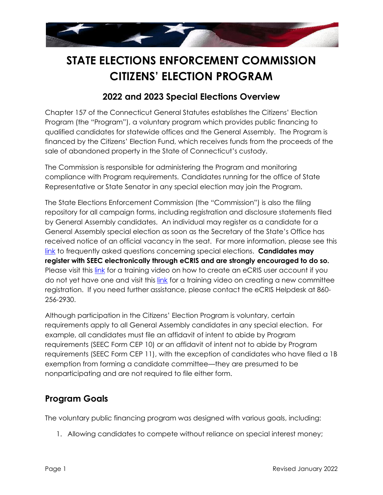

# **STATE ELECTIONS ENFORCEMENT COMMISSION CITIZENS' ELECTION PROGRAM**

#### **2022 and 2023 Special Elections Overview**

Chapter 157 of the Connecticut General Statutes establishes the Citizens' Election Program (the "Program"), a voluntary program which provides public financing to qualified candidates for statewide offices and the General Assembly. The Program is financed by the Citizens' Election Fund, which receives funds from the proceeds of the sale of abandoned property in the State of Connecticut's custody.

The Commission is responsible for administering the Program and monitoring compliance with Program requirements. Candidates running for the office of State Representative or State Senator in any special election may join the Program.

The State Elections Enforcement Commission (the "Commission") is also the filing repository for all campaign forms, including registration and disclosure statements filed by General Assembly candidates. An individual may register as a candidate for a General Assembly special election as soon as the Secretary of the State's Office has received notice of an official vacancy in the seat. For more information, please see this [link](https://seec.ct.gov/Portal/treasurerCorner/FaqSpecialElections) to frequently asked questions concerning special elections. **Candidates may register with SEEC electronically through eCRIS and are strongly encouraged to do so.**  Please visit this [link](https://seec.ct.gov/Portal/training/eCRIStraining) for a training video on how to create an eCRIS user account if you do not yet have one and visit this [link](https://seec.ct.gov/eCRIS/v2.0/Help/RegisterNewCommittee.mp4) for a training video on creating a new committee registration. If you need further assistance, please contact the eCRIS Helpdesk at 860- 256-2930.

Although participation in the Citizens' Election Program is voluntary, certain requirements apply to all General Assembly candidates in any special election. For example, all candidates must file an affidavit of intent to abide by Program requirements (SEEC Form CEP 10) or an affidavit of intent not to abide by Program requirements (SEEC Form CEP 11), with the exception of candidates who have filed a 1B exemption from forming a candidate committee—they are presumed to be nonparticipating and are not required to file either form.

#### **Program Goals**

The voluntary public financing program was designed with various goals, including:

1. Allowing candidates to compete without reliance on special interest money;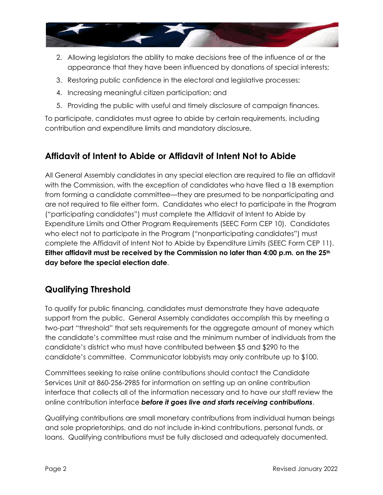

- 2. Allowing legislators the ability to make decisions free of the influence of or the appearance that they have been influenced by donations of special interests;
- 3. Restoring public confidence in the electoral and legislative processes;
- 4. Increasing meaningful citizen participation; and
- 5. Providing the public with useful and timely disclosure of campaign finances.

To participate, candidates must agree to abide by certain requirements, including contribution and expenditure limits and mandatory disclosure.

## **Affidavit of Intent to Abide or Affidavit of Intent Not to Abide**

All General Assembly candidates in any special election are required to file an affidavit with the Commission, with the exception of candidates who have filed a 1B exemption from forming a candidate committee—they are presumed to be nonparticipating and are not required to file either form. Candidates who elect to participate in the Program ("participating candidates") must complete the Affidavit of Intent to Abide by Expenditure Limits and Other Program Requirements (SEEC Form CEP 10). Candidates who elect not to participate in the Program ("nonparticipating candidates") must complete the Affidavit of Intent Not to Abide by Expenditure Limits (SEEC Form CEP 11). **Either affidavit must be received by the Commission no later than 4:00 p.m. on the 25th day before the special election date**.

#### **Qualifying Threshold**

To qualify for public financing, candidates must demonstrate they have adequate support from the public. General Assembly candidates accomplish this by meeting a two-part "threshold" that sets requirements for the aggregate amount of money which the candidate's committee must raise and the minimum number of individuals from the candidate's district who must have contributed between \$5 and \$290 to the candidate's committee. Communicator lobbyists may only contribute up to \$100.

Committees seeking to raise online contributions should contact the Candidate Services Unit at 860-256-2985 for information on setting up an online contribution interface that collects all of the information necessary and to have our staff review the online contribution interface *before it goes live and starts receiving contributions*.

Qualifying contributions are small monetary contributions from individual human beings and sole proprietorships, and do not include in-kind contributions, personal funds, or loans. Qualifying contributions must be fully disclosed and adequately documented.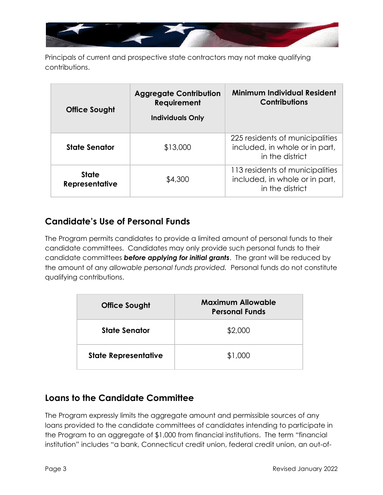

Principals of current and prospective state contractors may not make qualifying contributions.

| <b>Office Sought</b>                  | <b>Aggregate Contribution</b><br>Requirement<br><b>Individuals Only</b> | <b>Minimum Individual Resident</b><br><b>Contributions</b>                           |
|---------------------------------------|-------------------------------------------------------------------------|--------------------------------------------------------------------------------------|
| <b>State Senator</b>                  | \$13,000                                                                | 225 residents of municipalities<br>included, in whole or in part,<br>in the district |
| <b>State</b><br><b>Representative</b> | \$4,300                                                                 | 113 residents of municipalities<br>included, in whole or in part,<br>in the district |

#### **Candidate's Use of Personal Funds**

The Program permits candidates to provide a limited amount of personal funds to their candidate committees. Candidates may only provide such personal funds to their candidate committees *before applying for initial grants*. The grant will be reduced by the amount of any *allowable personal funds provided.* Personal funds do not constitute qualifying contributions.

| <b>Office Sought</b>        | <b>Maximum Allowable</b><br><b>Personal Funds</b> |
|-----------------------------|---------------------------------------------------|
| <b>State Senator</b>        | \$2,000                                           |
| <b>State Representative</b> | \$1,000                                           |

#### **Loans to the Candidate Committee**

The Program expressly limits the aggregate amount and permissible sources of any loans provided to the candidate committees of candidates intending to participate in the Program to an aggregate of \$1,000 from financial institutions. The term "financial institution" includes "a bank, Connecticut credit union, federal credit union, an out-of-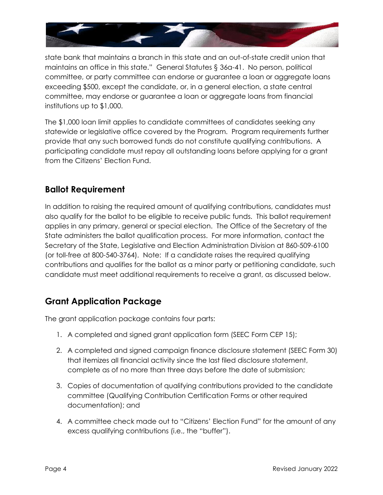

state bank that maintains a branch in this state and an out-of-state credit union that maintains an office in this state." General Statutes § 36a-41. No person, political committee, or party committee can endorse or guarantee a loan or aggregate loans exceeding \$500, except the candidate, or, in a general election, a state central committee, may endorse or guarantee a loan or aggregate loans from financial institutions up to \$1,000.

The \$1,000 loan limit applies to candidate committees of candidates seeking any statewide or legislative office covered by the Program. Program requirements further provide that any such borrowed funds do not constitute qualifying contributions. A participating candidate must repay all outstanding loans before applying for a grant from the Citizens' Election Fund.

#### **Ballot Requirement**

In addition to raising the required amount of qualifying contributions, candidates must also qualify for the ballot to be eligible to receive public funds. This ballot requirement applies in any primary, general or special election. The Office of the Secretary of the State administers the ballot qualification process. For more information, contact the Secretary of the State, Legislative and Election Administration Division at 860-509-6100 (or toll-free at 800-540-3764). Note: If a candidate raises the required qualifying contributions and qualifies for the ballot as a minor party or petitioning candidate, such candidate must meet additional requirements to receive a grant, as discussed below.

#### **Grant Application Package**

The grant application package contains four parts:

- 1. A completed and signed grant application form (SEEC Form CEP 15);
- 2. A completed and signed campaign finance disclosure statement (SEEC Form 30) that itemizes all financial activity since the last filed disclosure statement, complete as of no more than three days before the date of submission;
- 3. Copies of documentation of qualifying contributions provided to the candidate committee (Qualifying Contribution Certification Forms or other required documentation); and
- 4. A committee check made out to "Citizens' Election Fund" for the amount of any excess qualifying contributions (i.e., the "buffer").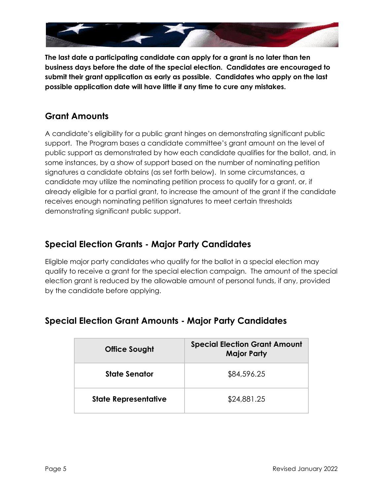

**The last date a participating candidate can apply for a grant is no later than ten business days before the date of the special election. Candidates are encouraged to submit their grant application as early as possible. Candidates who apply on the last possible application date will have little if any time to cure any mistakes.** 

## **Grant Amounts**

A candidate's eligibility for a public grant hinges on demonstrating significant public support. The Program bases a candidate committee's grant amount on the level of public support as demonstrated by how each candidate qualifies for the ballot, and, in some instances, by a show of support based on the number of nominating petition signatures a candidate obtains (as set forth below). In some circumstances, a candidate may utilize the nominating petition process to qualify for a grant, or, if already eligible for a partial grant, to increase the amount of the grant if the candidate receives enough nominating petition signatures to meet certain thresholds demonstrating significant public support.

#### **Special Election Grants - Major Party Candidates**

Eligible major party candidates who qualify for the ballot in a special election may qualify to receive a grant for the special election campaign. The amount of the special election grant is reduced by the allowable amount of personal funds, if any, provided by the candidate before applying.

| <b>Office Sought</b>        | <b>Special Election Grant Amount</b><br><b>Major Party</b> |
|-----------------------------|------------------------------------------------------------|
| <b>State Senator</b>        | \$84,596.25                                                |
| <b>State Representative</b> | \$24,881.25                                                |

#### **Special Election Grant Amounts - Major Party Candidates**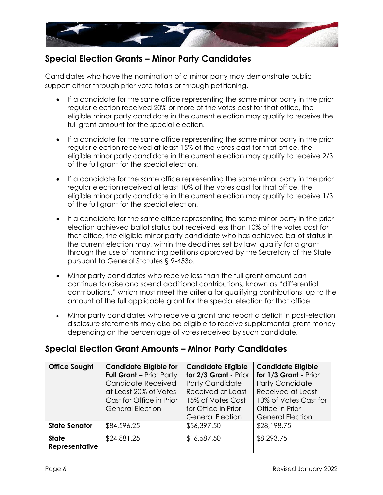

### **Special Election Grants – Minor Party Candidates**

Candidates who have the nomination of a minor party may demonstrate public support either through prior vote totals or through petitioning.

- If a candidate for the same office representing the same minor party in the prior regular election received 20% or more of the votes cast for that office, the eligible minor party candidate in the current election may qualify to receive the full grant amount for the special election.
- If a candidate for the same office representing the same minor party in the prior regular election received at least 15% of the votes cast for that office, the eligible minor party candidate in the current election may qualify to receive 2/3 of the full grant for the special election.
- If a candidate for the same office representing the same minor party in the prior regular election received at least 10% of the votes cast for that office, the eligible minor party candidate in the current election may qualify to receive 1/3 of the full grant for the special election.
- If a candidate for the same office representing the same minor party in the prior election achieved ballot status but received less than 10% of the votes cast for that office, the eligible minor party candidate who has achieved ballot status in the current election may, within the deadlines set by law, qualify for a grant through the use of nominating petitions approved by the Secretary of the State pursuant to General Statutes § 9-453o.
- Minor party candidates who receive less than the full grant amount can continue to raise and spend additional contributions, known as "differential contributions," which must meet the criteria for qualifying contributions, up to the amount of the full applicable grant for the special election for that office.
- Minor party candidates who receive a grant and report a deficit in post-election disclosure statements may also be eligible to receive supplemental grant money depending on the percentage of votes received by such candidate.

#### **Special Election Grant Amounts – Minor Party Candidates**

| <b>Office Sought</b>  | <b>Candidate Eligible for</b>   | <b>Candidate Eligible</b> | <b>Candidate Eligible</b> |
|-----------------------|---------------------------------|---------------------------|---------------------------|
|                       | <b>Full Grant - Prior Party</b> | for 2/3 Grant - Prior     | for 1/3 Grant - Prior     |
|                       | Candidate Received              | <b>Party Candidate</b>    | <b>Party Candidate</b>    |
|                       | at Least 20% of Votes           | Received at Least         | Received at Least         |
|                       | Cast for Office in Prior        | 15% of Votes Cast         | 10% of Votes Cast for     |
|                       | <b>General Election</b>         | for Office in Prior       | Office in Prior           |
|                       |                                 | <b>General Election</b>   | <b>General Election</b>   |
| <b>State Senator</b>  | \$84,596.25                     | \$56,397.50               | \$28,198.75               |
| <b>State</b>          | \$24,881.25                     | \$16,587.50               | \$8,293.75                |
| <b>Representative</b> |                                 |                           |                           |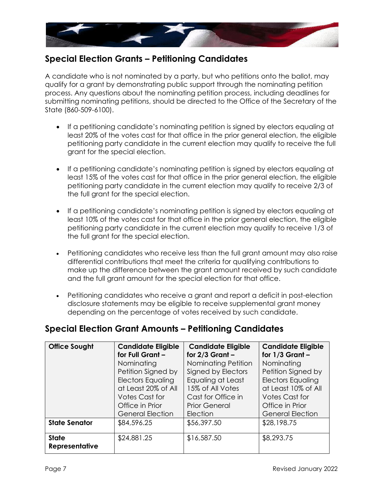

#### **Special Election Grants – Petitioning Candidates**

A candidate who is not nominated by a party, but who petitions onto the ballot, may qualify for a grant by demonstrating public support through the nominating petition process. Any questions about the nominating petition process, including deadlines for submitting nominating petitions, should be directed to the Office of the Secretary of the State (860-509-6100).

- If a petitioning candidate's nominating petition is signed by electors equaling at least 20% of the votes cast for that office in the prior general election, the eligible petitioning party candidate in the current election may qualify to receive the full grant for the special election.
- If a petitioning candidate's nominating petition is signed by electors equaling at least 15% of the votes cast for that office in the prior general election, the eligible petitioning party candidate in the current election may qualify to receive 2/3 of the full grant for the special election.
- If a petitioning candidate's nominating petition is signed by electors equaling at least 10% of the votes cast for that office in the prior general election, the eligible petitioning party candidate in the current election may qualify to receive 1/3 of the full grant for the special election.
- Petitioning candidates who receive less than the full grant amount may also raise differential contributions that meet the criteria for qualifying contributions to make up the difference between the grant amount received by such candidate and the full grant amount for the special election for that office.
- Petitioning candidates who receive a grant and report a deficit in post-election disclosure statements may be eligible to receive supplemental grant money depending on the percentage of votes received by such candidate.

#### **Special Election Grant Amounts – Petitioning Candidates**

| <b>Office Sought</b>  | <b>Candidate Eligible</b><br>for Full Grant - | <b>Candidate Eligible</b><br>for $2/3$ Grant - | <b>Candidate Eligible</b><br>for $1/3$ Grant - |
|-----------------------|-----------------------------------------------|------------------------------------------------|------------------------------------------------|
|                       |                                               |                                                |                                                |
|                       | Nominating                                    | Nominating Petition                            | Nominating                                     |
|                       | Petition Signed by                            | Signed by Electors                             | Petition Signed by                             |
|                       | <b>Electors Equaling</b>                      | Equaling at Least                              | <b>Electors Equaling</b>                       |
|                       | at Least 20% of All                           | 15% of All Votes                               | at Least 10% of All                            |
|                       | <b>Votes Cast for</b>                         | Cast for Office in                             | <b>Votes Cast for</b>                          |
|                       | Office in Prior                               | <b>Prior General</b>                           | Office in Prior                                |
|                       | <b>General Election</b>                       | Election                                       | <b>General Election</b>                        |
| <b>State Senator</b>  | \$84,596.25                                   | \$56,397.50                                    | \$28,198.75                                    |
| <b>State</b>          | \$24,881.25                                   | \$16,587.50                                    | \$8,293.75                                     |
| <b>Representative</b> |                                               |                                                |                                                |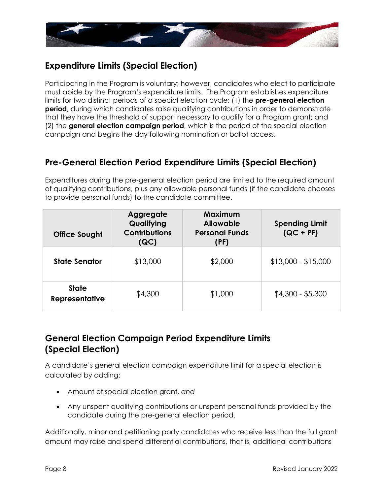

## **Expenditure Limits (Special Election)**

Participating in the Program is voluntary; however, candidates who elect to participate must abide by the Program's expenditure limits. The Program establishes expenditure limits for two distinct periods of a special election cycle: (1) the **pre-general election period**, during which candidates raise qualifying contributions in order to demonstrate that they have the threshold of support necessary to qualify for a Program grant; and (2) the **general election campaign period**, which is the period of the special election campaign and begins the day following nomination or ballot access.

## **Pre-General Election Period Expenditure Limits (Special Election)**

Expenditures during the pre-general election period are limited to the required amount of qualifying contributions, plus any allowable personal funds (if the candidate chooses to provide personal funds) to the candidate committee.

| <b>Office Sought</b>                  | <b>Aggregate</b><br>Qualifying<br><b>Contributions</b><br>(QC) | Maximum<br><b>Allowable</b><br><b>Personal Funds</b><br>(PF) | <b>Spending Limit</b><br>$(QC + PF)$ |
|---------------------------------------|----------------------------------------------------------------|--------------------------------------------------------------|--------------------------------------|
| <b>State Senator</b>                  | \$13,000                                                       | \$2,000                                                      | $$13,000 - $15,000$                  |
| <b>State</b><br><b>Representative</b> | \$4,300                                                        | \$1,000                                                      | $$4,300 - $5,300$                    |

## **General Election Campaign Period Expenditure Limits (Special Election)**

A candidate's general election campaign expenditure limit for a special election is calculated by adding:

- Amount of special election grant, *and*
- Any unspent qualifying contributions or unspent personal funds provided by the candidate during the pre-general election period.

Additionally, minor and petitioning party candidates who receive less than the full grant amount may raise and spend differential contributions, that is, additional contributions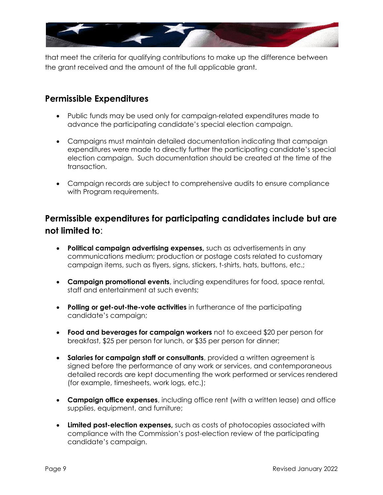

that meet the criteria for qualifying contributions to make up the difference between the grant received and the amount of the full applicable grant.

#### **Permissible Expenditures**

- Public funds may be used only for campaign-related expenditures made to advance the participating candidate's special election campaign.
- Campaigns must maintain detailed documentation indicating that campaign expenditures were made to directly further the participating candidate's special election campaign. Such documentation should be created at the time of the transaction.
- Campaign records are subject to comprehensive audits to ensure compliance with Program requirements.

# **Permissible expenditures for participating candidates include but are not limited to**:

- **Political campaign advertising expenses,** such as advertisements in any communications medium; production or postage costs related to customary campaign items, such as flyers, signs, stickers, t-shirts, hats, buttons, etc.;
- **Campaign promotional events**, including expenditures for food, space rental, staff and entertainment at such events;
- **Polling or get-out-the-vote activities** in furtherance of the participating candidate's campaign;
- **Food and beverages for campaign workers** not to exceed \$20 per person for breakfast, \$25 per person for lunch, or \$35 per person for dinner;
- **Salaries for campaign staff or consultants**, provided a written agreement is signed before the performance of any work or services, and contemporaneous detailed records are kept documenting the work performed or services rendered (for example, timesheets, work logs, etc.);
- **Campaign office expenses**, including office rent (with a written lease) and office supplies, equipment, and furniture;
- **Limited post-election expenses,** such as costs of photocopies associated with compliance with the Commission's post-election review of the participating candidate's campaign.